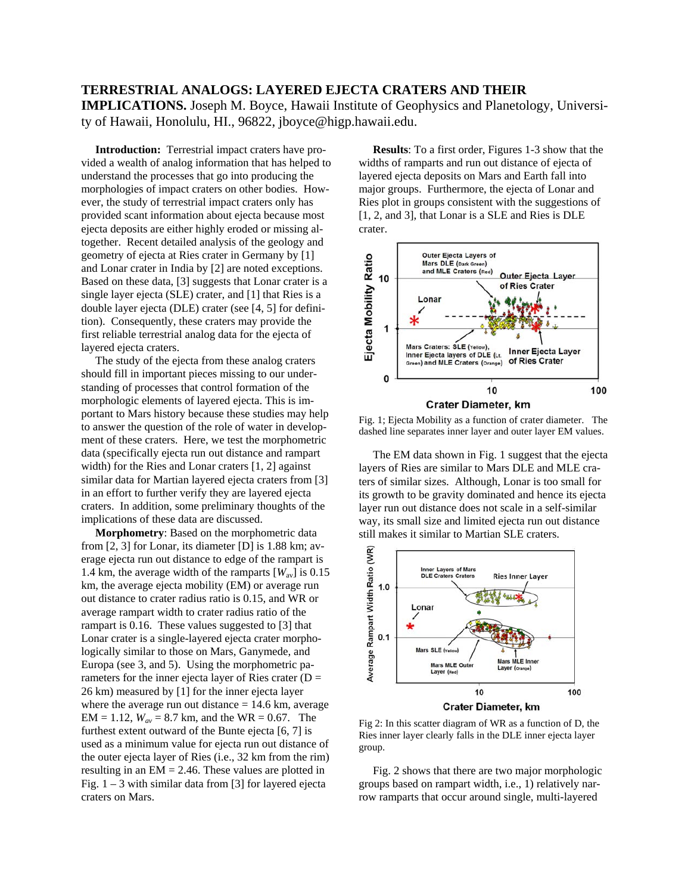## **TERRESTRIAL ANALOGS: LAYERED EJECTA CRATERS AND THEIR**

**IMPLICATIONS.** Joseph M. Boyce, Hawaii Institute of Geophysics and Planetology, University of Hawaii, Honolulu, HI., 96822, jboyce@higp.hawaii.edu.

 **Introduction:** Terrestrial impact craters have provided a wealth of analog information that has helped to understand the processes that go into producing the morphologies of impact craters on other bodies. However, the study of terrestrial impact craters only has provided scant information about ejecta because most ejecta deposits are either highly eroded or missing altogether. Recent detailed analysis of the geology and geometry of ejecta at Ries crater in Germany by [1] and Lonar crater in India by [2] are noted exceptions. Based on these data, [3] suggests that Lonar crater is a single layer ejecta (SLE) crater, and [1] that Ries is a double layer ejecta (DLE) crater (see [4, 5] for definition). Consequently, these craters may provide the first reliable terrestrial analog data for the ejecta of layered ejecta craters.

 The study of the ejecta from these analog craters should fill in important pieces missing to our understanding of processes that control formation of the morphologic elements of layered ejecta. This is important to Mars history because these studies may help to answer the question of the role of water in development of these craters. Here, we test the morphometric data (specifically ejecta run out distance and rampart width) for the Ries and Lonar craters [1, 2] against similar data for Martian layered ejecta craters from [3] in an effort to further verify they are layered ejecta craters. In addition, some preliminary thoughts of the implications of these data are discussed.

 **Morphometry**: Based on the morphometric data from [2, 3] for Lonar, its diameter [D] is 1.88 km; average ejecta run out distance to edge of the rampart is 1.4 km, the average width of the ramparts  $[W_{av}]$  is 0.15 km, the average ejecta mobility (EM) or average run out distance to crater radius ratio is 0.15, and WR or average rampart width to crater radius ratio of the rampart is 0.16. These values suggested to [3] that Lonar crater is a single-layered ejecta crater morphologically similar to those on Mars, Ganymede, and Europa (see 3, and 5). Using the morphometric parameters for the inner ejecta layer of Ries crater ( $D =$ 26 km) measured by [1] for the inner ejecta layer where the average run out distance  $= 14.6$  km, average  $EM = 1.12$ ,  $W_{av} = 8.7$  km, and the WR = 0.67. The furthest extent outward of the Bunte ejecta [6, 7] is used as a minimum value for ejecta run out distance of the outer ejecta layer of Ries (i.e., 32 km from the rim) resulting in an  $EM = 2.46$ . These values are plotted in Fig.  $1 - 3$  with similar data from [3] for layered ejecta craters on Mars.

 **Results**: To a first order, Figures 1-3 show that the widths of ramparts and run out distance of ejecta of layered ejecta deposits on Mars and Earth fall into major groups. Furthermore, the ejecta of Lonar and Ries plot in groups consistent with the suggestions of [1, 2, and 3], that Lonar is a SLE and Ries is DLE crater.



Fig. 1; Ejecta Mobility as a function of crater diameter. The dashed line separates inner layer and outer layer EM values.

 The EM data shown in Fig. 1 suggest that the ejecta layers of Ries are similar to Mars DLE and MLE craters of similar sizes. Although, Lonar is too small for its growth to be gravity dominated and hence its ejecta layer run out distance does not scale in a self-similar way, its small size and limited ejecta run out distance still makes it similar to Martian SLE craters.



Fig 2: In this scatter diagram of WR as a function of D, the Ries inner layer clearly falls in the DLE inner ejecta layer group.

 Fig. 2 shows that there are two major morphologic groups based on rampart width, i.e., 1) relatively narrow ramparts that occur around single, multi-layered